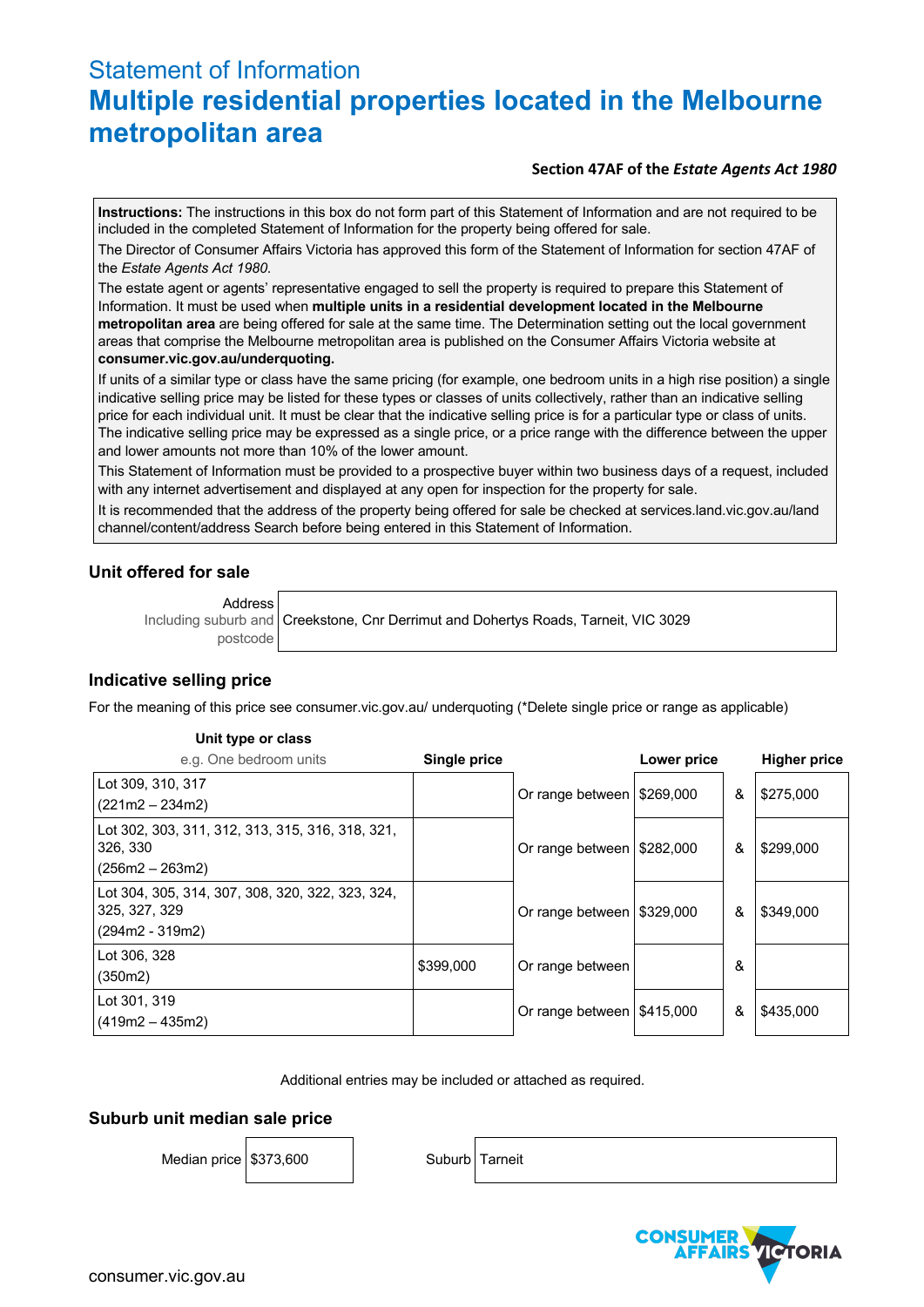# Statement of Information **Multiple residential properties located in the Melbourne metropolitan area**

## **Section 47AF of the** *Estate Agents Act 1980*

**Instructions:** The instructions in this box do not form part of this Statement of Information and are not required to be included in the completed Statement of Information for the property being offered for sale.

The Director of Consumer Affairs Victoria has approved this form of the Statement of Information for section 47AF of the *Estate Agents Act 1980*.

The estate agent or agents' representative engaged to sell the property is required to prepare this Statement of Information. It must be used when **multiple units in a residential development located in the Melbourne metropolitan area** are being offered for sale at the same time. The Determination setting out the local government areas that comprise the Melbourne metropolitan area is published on the Consumer Affairs Victoria website at **consumer.vic.gov.au/underquoting.**

If units of a similar type or class have the same pricing (for example, one bedroom units in a high rise position) a single indicative selling price may be listed for these types or classes of units collectively, rather than an indicative selling price for each individual unit. It must be clear that the indicative selling price is for a particular type or class of units. The indicative selling price may be expressed as a single price, or a price range with the difference between the upper and lower amounts not more than 10% of the lower amount.

This Statement of Information must be provided to a prospective buyer within two business days of a request, included with any internet advertisement and displayed at any open for inspection for the property for sale.

It is recommended that the address of the property being offered for sale be checked at services.land.vic.gov.au/land channel/content/address Search before being entered in this Statement of Information.

## **Unit offered for sale**

Address

Including suburb and postcode

Creekstone, Cnr Derrimut and Dohertys Roads, Tarneit, VIC 3029

## **Indicative selling price**

For the meaning of this price see consumer.vic.gov.au/ underquoting (\*Delete single price or range as applicable)

#### **Unit type or class**

| e.g. One bedroom units                                                                 | <b>Single price</b> |                                          | Lower price |   | <b>Higher price</b> |
|----------------------------------------------------------------------------------------|---------------------|------------------------------------------|-------------|---|---------------------|
| Lot 309, 310, 317<br>$(221m2 - 234m2)$                                                 |                     | Or range between   \$269,000             |             | & | \$275,000           |
| Lot 302, 303, 311, 312, 313, 315, 316, 318, 321,<br>326, 330<br>$(256m2 - 263m2)$      |                     | Or range between   \$282,000             |             | & | \$299,000           |
| Lot 304, 305, 314, 307, 308, 320, 322, 323, 324,<br>325, 327, 329<br>$(294m2 - 319m2)$ |                     | Or range between   \$329,000             |             | & | \$349,000           |
| Lot 306, 328<br>(350m2)                                                                | \$399,000           | Or range between                         |             | & |                     |
| Lot 301, 319<br>$(419m2 - 435m2)$                                                      |                     | Or range between $\frac{1415,000}{1000}$ |             | & | \$435,000           |

Additional entries may be included or attached as required.

## **Suburb unit median sale price**

Median price \$373,600 Suburb Tarneit

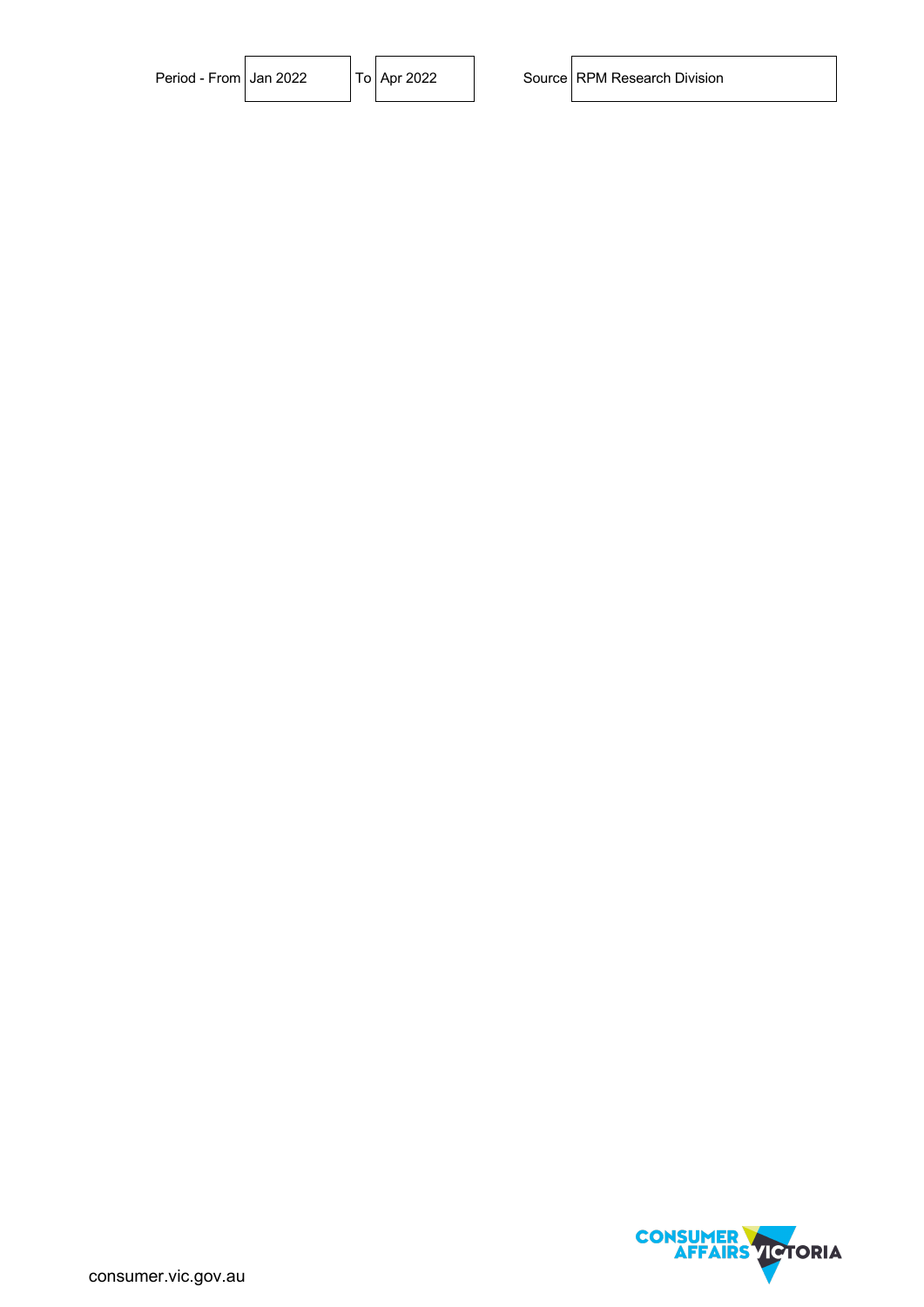| Period - From Jan 2022 |  | To   Apr 2022 | Source RPM Research Division |
|------------------------|--|---------------|------------------------------|
|                        |  |               |                              |

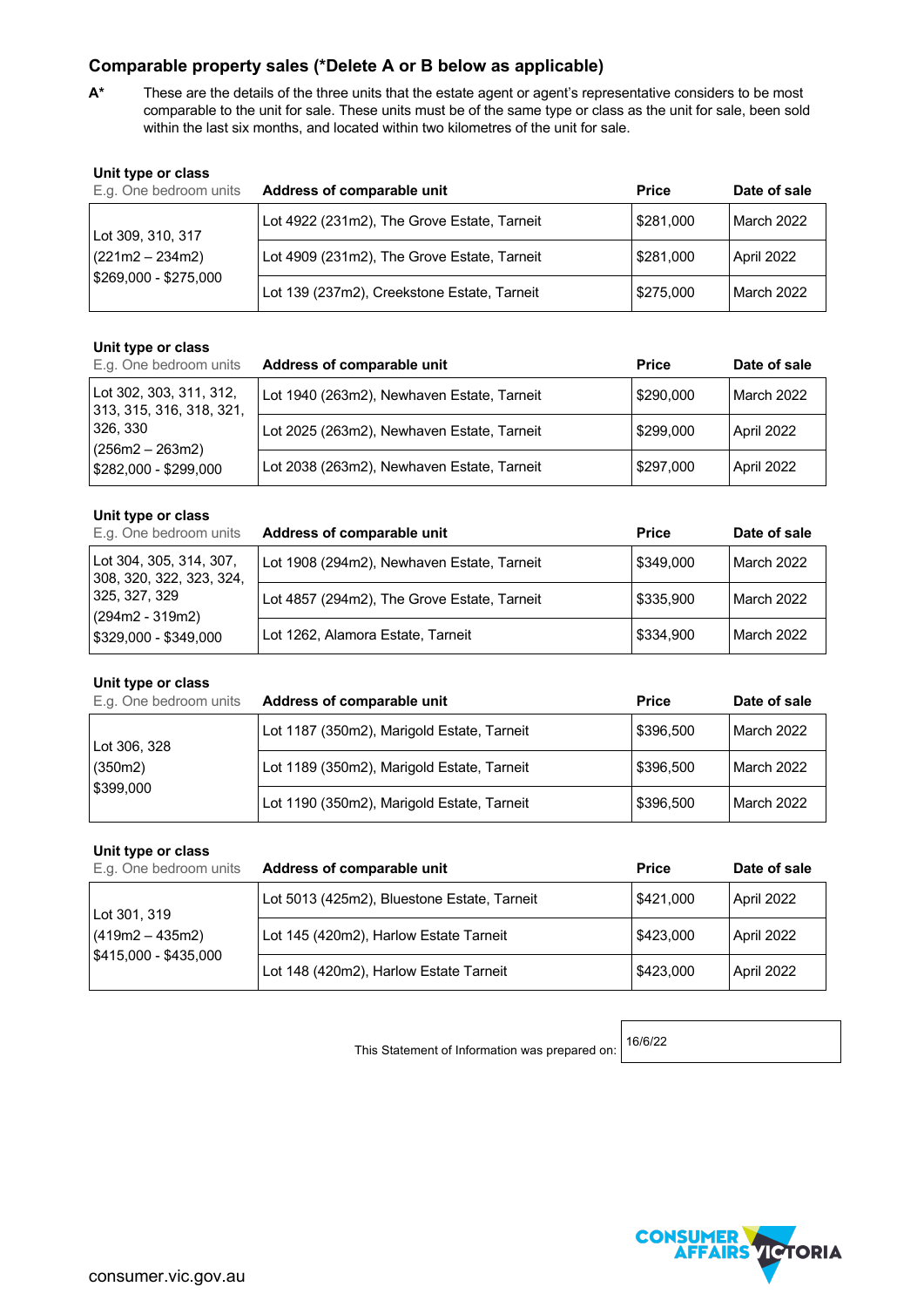## **Comparable property sales (\*Delete A or B below as applicable)**

**A\*** These are the details of the three units that the estate agent or agent's representative considers to be most comparable to the unit for sale. These units must be of the same type or class as the unit for sale, been sold within the last six months, and located within two kilometres of the unit for sale.

| Unit type or class<br>E.g. One bedroom units | Address of comparable unit                  | <b>Price</b> | Date of sale |
|----------------------------------------------|---------------------------------------------|--------------|--------------|
| Lot 309, 310, 317                            | Lot 4922 (231m2), The Grove Estate, Tarneit | \$281,000    | March 2022   |
| $(221m2 - 234m2)$<br>\$269,000 - \$275,000   | Lot 4909 (231m2), The Grove Estate, Tarneit | \$281,000    | April 2022   |
|                                              | Lot 139 (237m2), Creekstone Estate, Tarneit | \$275,000    | March 2022   |

## **Unit type or class**

| E.g. One bedroom units                              | Address of comparable unit                 | <b>Price</b> | Date of sale |
|-----------------------------------------------------|--------------------------------------------|--------------|--------------|
| Lot 302, 303, 311, 312,<br>313, 315, 316, 318, 321, | Lot 1940 (263m2), Newhaven Estate, Tarneit | \$290,000    | March 2022   |
| 326, 330                                            | Lot 2025 (263m2), Newhaven Estate, Tarneit | \$299,000    | April 2022   |
| (256m2 – 263m2)<br>$$282,000 - $299,000$            | Lot 2038 (263m2), Newhaven Estate, Tarneit | \$297,000    | April 2022   |

#### **Unit type or class**

| E.g. One bedroom units                                   | Address of comparable unit                  | <b>Price</b> | Date of sale |
|----------------------------------------------------------|---------------------------------------------|--------------|--------------|
| Lot 304, 305, 314, 307,<br>308, 320, 322, 323, 324,      | Lot 1908 (294m2), Newhaven Estate, Tarneit  | l \$349.000  | March 2022   |
| 325, 327, 329<br>(294m2 - 319m2)<br>5329,000 - \$349,000 | Lot 4857 (294m2), The Grove Estate, Tarneit | \$335,900    | March 2022   |
|                                                          | Lot 1262, Alamora Estate, Tarneit           | \$334,900    | March 2022   |

#### **Unit type or class**

| E.g. One bedroom units | Address of comparable unit                 | <b>Price</b> | Date of sale |
|------------------------|--------------------------------------------|--------------|--------------|
| Lot 306, 328           | Lot 1187 (350m2), Marigold Estate, Tarneit | \$396,500    | l March 2022 |
| (350m2)<br>\$399,000   | Lot 1189 (350m2), Marigold Estate, Tarneit | \$396,500    | l March 2022 |
|                        | Lot 1190 (350m2), Marigold Estate, Tarneit | \$396,500    | l March 2022 |

#### **Unit type or class**

| E.g. One bedroom units                   | Address of comparable unit                  | <b>Price</b> | Date of sale |
|------------------------------------------|---------------------------------------------|--------------|--------------|
| Lot 301, 319                             | Lot 5013 (425m2), Bluestone Estate, Tarneit | \$421,000    | April 2022   |
| (419m2 – 435m2)<br>$$415,000 - $435,000$ | Lot 145 (420m2), Harlow Estate Tarneit      | \$423,000    | April 2022   |
|                                          | Lot 148 (420m2), Harlow Estate Tarneit      | \$423,000    | April 2022   |

This Statement of Information was prepared on:

16/6/22

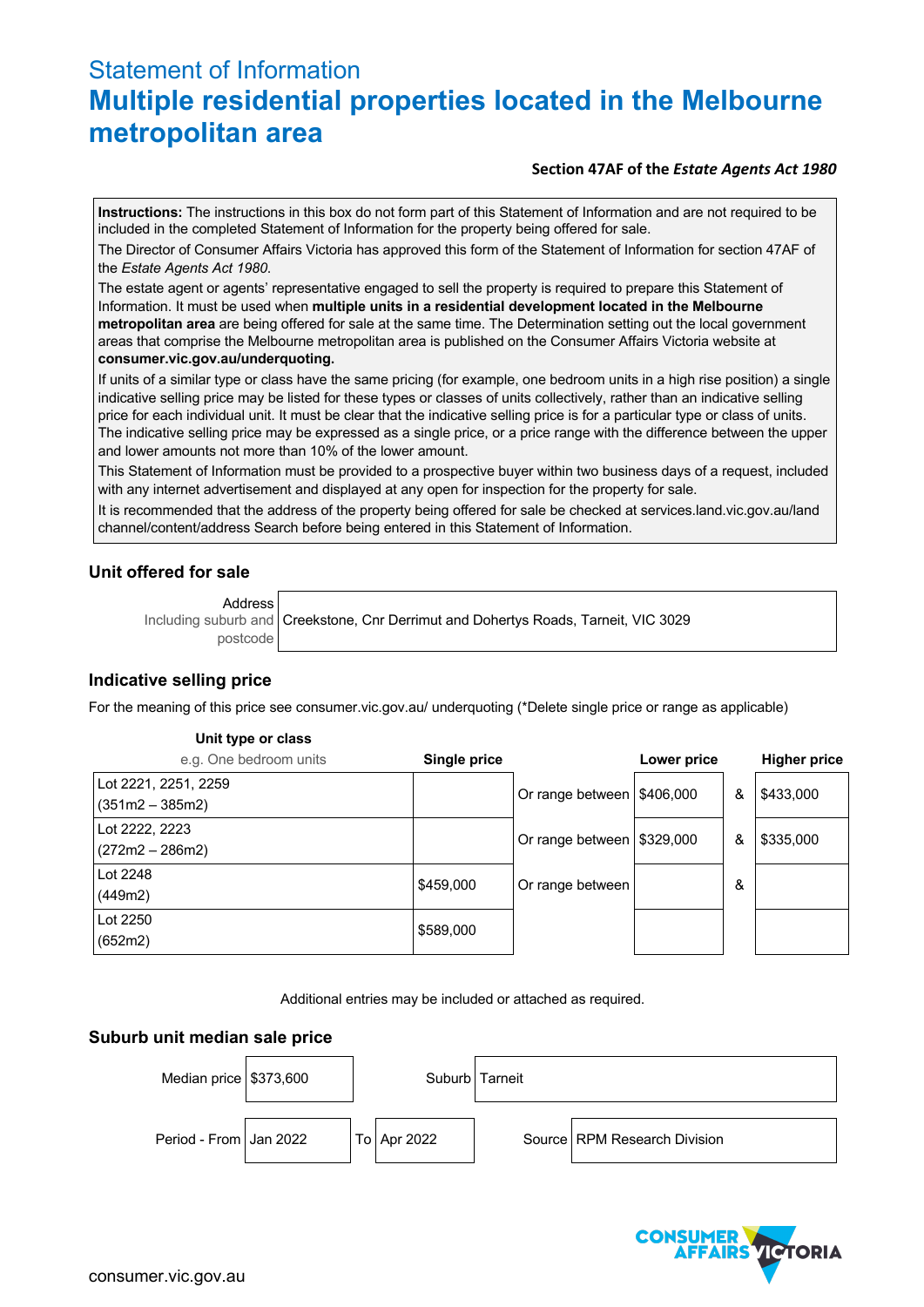# Statement of Information **Multiple residential properties located in the Melbourne metropolitan area**

## **Section 47AF of the** *Estate Agents Act 1980*

**Instructions:** The instructions in this box do not form part of this Statement of Information and are not required to be included in the completed Statement of Information for the property being offered for sale.

The Director of Consumer Affairs Victoria has approved this form of the Statement of Information for section 47AF of the *Estate Agents Act 1980*.

The estate agent or agents' representative engaged to sell the property is required to prepare this Statement of Information. It must be used when **multiple units in a residential development located in the Melbourne metropolitan area** are being offered for sale at the same time. The Determination setting out the local government areas that comprise the Melbourne metropolitan area is published on the Consumer Affairs Victoria website at **consumer.vic.gov.au/underquoting.**

If units of a similar type or class have the same pricing (for example, one bedroom units in a high rise position) a single indicative selling price may be listed for these types or classes of units collectively, rather than an indicative selling price for each individual unit. It must be clear that the indicative selling price is for a particular type or class of units. The indicative selling price may be expressed as a single price, or a price range with the difference between the upper and lower amounts not more than 10% of the lower amount.

This Statement of Information must be provided to a prospective buyer within two business days of a request, included with any internet advertisement and displayed at any open for inspection for the property for sale.

It is recommended that the address of the property being offered for sale be checked at services.land.vic.gov.au/land channel/content/address Search before being entered in this Statement of Information.

## **Unit offered for sale**

Address

Including suburb and postcode Creekstone, Cnr Derrimut and Dohertys Roads, Tarneit, VIC 3029

## **Indicative selling price**

For the meaning of this price see consumer.vic.gov.au/ underquoting (\*Delete single price or range as applicable)

#### **Unit type or class**

| e.g. One bedroom units                    | Single price |                              | <b>Lower price</b> |   | <b>Higher price</b> |
|-------------------------------------------|--------------|------------------------------|--------------------|---|---------------------|
| Lot 2221, 2251, 2259<br>$(351m2 - 385m2)$ |              | Or range between   \$406,000 |                    | & | \$433,000           |
| Lot 2222, 2223<br>$(272m2 - 286m2)$       |              | Or range between   \$329,000 |                    | & | \$335,000           |
| Lot 2248<br>(449m2)                       | \$459,000    | Or range between             |                    | & |                     |
| Lot 2250<br>(652m2)                       | \$589,000    |                              |                    |   |                     |

Additional entries may be included or attached as required.

## **Suburb unit median sale price**